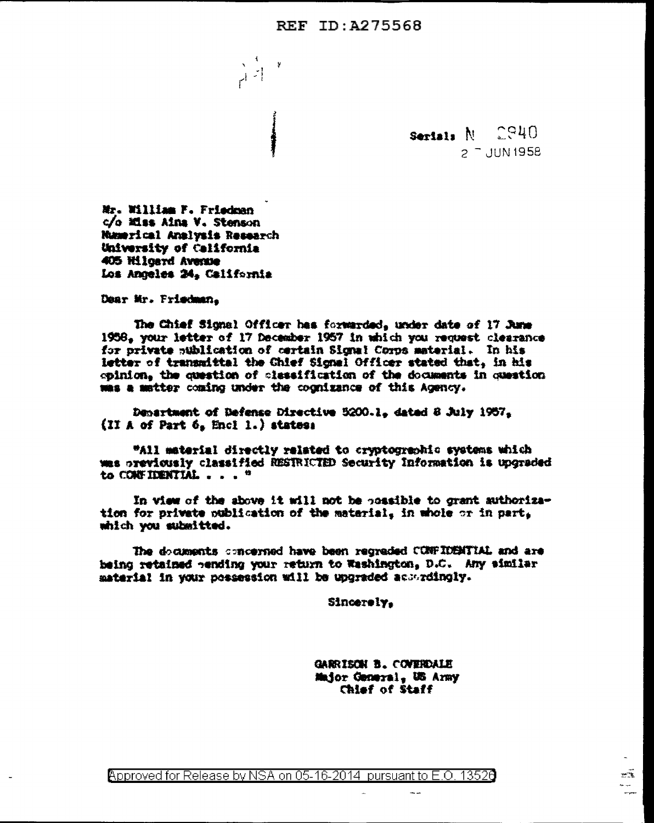## **REF ID: A275568**

 $\left| \cdot \right|$  $H^{\frac{1}{2}}$ 

> $C940$ Serials  $N$  $2 -$  JUN 1958

Mr. William F. Friedman c/o Elss Ains V. Stenson Mamerical Analysis Research University of California 405 Hilgard Avenue Los Anneles 24. California

Dear Mr. Priedman.

The Chief Signal Officer has forwarded, under date of 17 June 1958. your letter of 17 December 1957 in which you request clearance for private sublication of certain Signal Corps material. In his letter of transmittal the Chief Signal Officer stated that, in his opinion, the question of classification of the documents in question was a matter coming under the cognizance of this Agency.

Department of Defense Directive 5200.1, dated 8 July 1957, (II A of Part 6, Encl 1.) states:

"All material directly related to cryptogrephic systems which was previously classified RESTRICTED Security Information is upgraded to CONFIDENTIAL . . . "

In view of the above it will not be possible to grant authorization for private publication of the material, in whole or in part. which you submitted.

The documents concerned have been regreded CONFIDENTIAL and are being retained pending your return to Washington, D.C. Any similar material in your possession will be upgraded accordingly.

Sincerely.

GARRISON B. COVERDALE Major General, US Army Chief of Staff

 $\sim$   $\sim$ 

x

 $\sim$